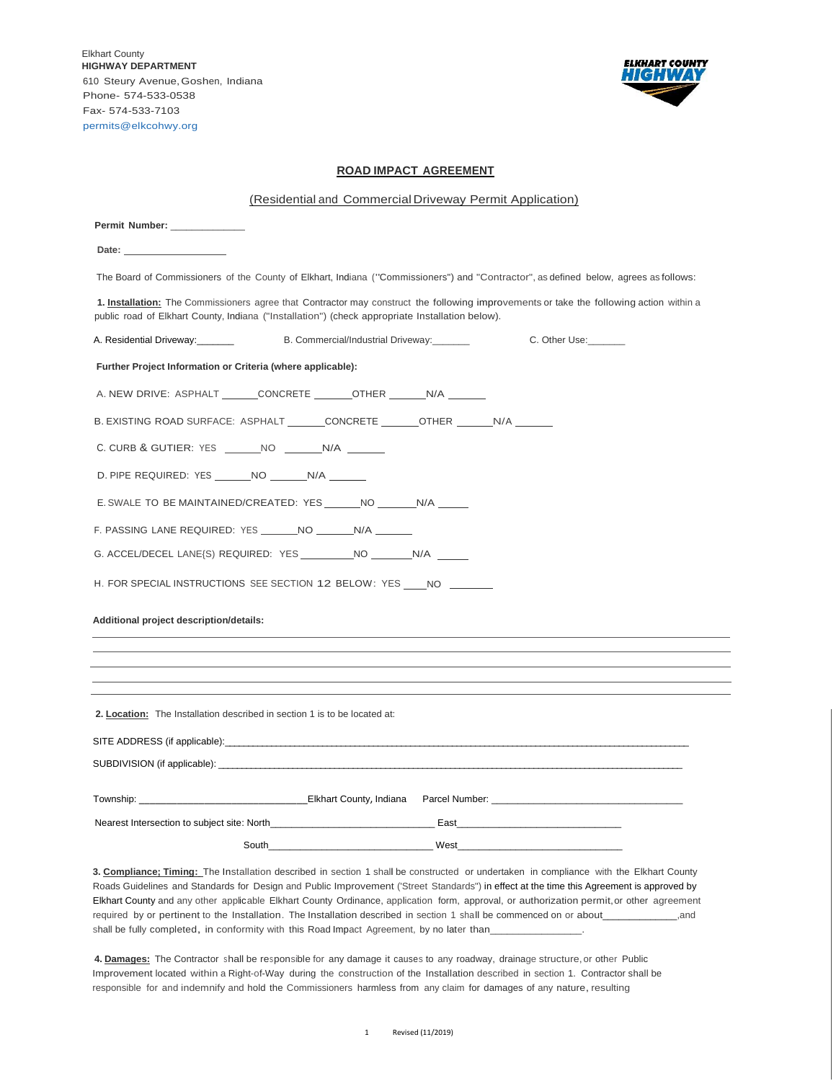Elkhart County **HIGHWAY DEPARTMENT**  610 Steury Avenue,Goshen, Indiana Phone- 574-533-0538 Fax- 574-533-7103 [permits@elkcohwy.org](mailto:permits@elkcohwy.org) 



 $\overline{\phantom{0}}$ L.

## **ROAD IMPACT AGREEMENT**

| (Residential and Commercial Driveway Permit Application)                                                                                                                                                                                   |  |
|--------------------------------------------------------------------------------------------------------------------------------------------------------------------------------------------------------------------------------------------|--|
| Permit Number: _______________                                                                                                                                                                                                             |  |
| Date: <u>___________________</u>                                                                                                                                                                                                           |  |
| The Board of Commissioners of the County of Elkhart, Indiana ("Commissioners") and "Contractor", as defined below, agrees as follows:                                                                                                      |  |
| 1. Installation: The Commissioners agree that Contractor may construct the following improvements or take the following action within a<br>public road of Elkhart County, Indiana ("Installation") (check appropriate Installation below). |  |
| A. Residential Driveway:_______<br>B. Commercial/Industrial Driveway: _______<br>C. Other Use:                                                                                                                                             |  |
| Further Project Information or Criteria (where applicable):                                                                                                                                                                                |  |
| A. NEW DRIVE: ASPHALT _______CONCRETE ________OTHER ________ N/A ________                                                                                                                                                                  |  |
| B. EXISTING ROAD SURFACE: ASPHALT _______CONCRETE _______OTHER _______N/A _______                                                                                                                                                          |  |
| C. CURB & GUTIER: YES _______NO ________N/A _______                                                                                                                                                                                        |  |
| D. PIPE REQUIRED: YES _______ NO _______ N/A _______                                                                                                                                                                                       |  |
| E. SWALE TO BE MAINTAINED/CREATED: YES ________NO _________N/A _______                                                                                                                                                                     |  |
| F. PASSING LANE REQUIRED: YES _______ NO ________ N/A _______                                                                                                                                                                              |  |
| G. ACCEL/DECEL LANE{S) REQUIRED: YES ____________NO __________N/A                                                                                                                                                                          |  |
| H. FOR SPECIAL INSTRUCTIONS SEE SECTION 12 BELOW: YES NO ______                                                                                                                                                                            |  |
| Additional project description/details:                                                                                                                                                                                                    |  |
|                                                                                                                                                                                                                                            |  |
|                                                                                                                                                                                                                                            |  |
|                                                                                                                                                                                                                                            |  |
|                                                                                                                                                                                                                                            |  |
| 2. Location: The Installation described in section 1 is to be located at:                                                                                                                                                                  |  |
|                                                                                                                                                                                                                                            |  |
|                                                                                                                                                                                                                                            |  |
| Township: example and the Elkhart County, Indiana Parcel Number: example and the example and the Elkhart County, Indiana Parcel Number:                                                                                                    |  |
|                                                                                                                                                                                                                                            |  |
| South <b>Example 2018</b> User Mest <b>West West</b>                                                                                                                                                                                       |  |

**3. Compliance; Timing:** The Installation described in section 1 shall be constructed or undertaken in compliance with the Elkhart County Roads Guidelines and Standards for Design and Public Improvement ('Street Standards") in effect at the time this Agreement is approved by Elkhart County and any other applicable Elkhart County Ordinance, application form, approval, or authorization permit,or other agreement required by or pertinent to the Installation. The Installation described in section 1 shall be commenced on or about\_\_\_\_\_\_\_\_\_\_\_\_\_\_,and shall be fully completed, in conformity with this Road Impact Agreement, by no later than\_

4. **Damages:** The Contractor shall be responsible for any damage it causes to any roadway, drainage structure, or other Public Improvement located within a Right-of-Way during the construction of the Installation described in section 1. Contractor shall be responsible for and indemnify and hold the Commissioners harmless from any claim for damages of any nature, resulting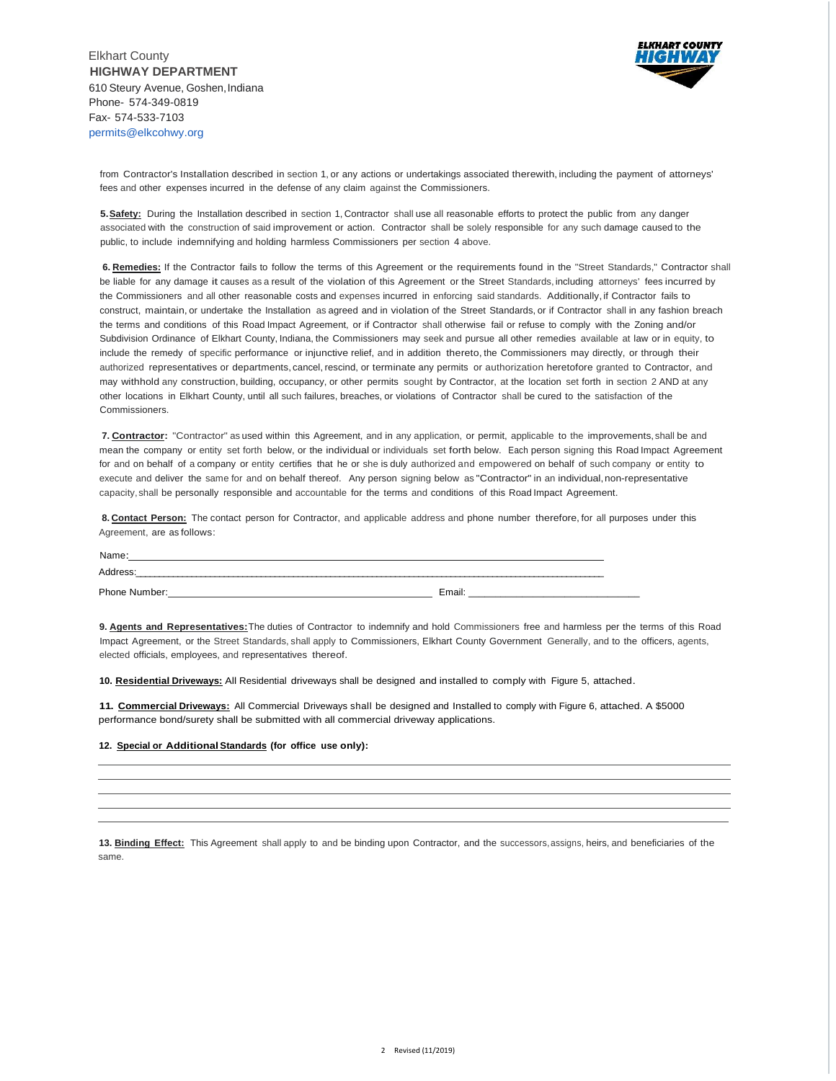

from Contractor's Installation described in section 1, or any actions or undertakings associated therewith, including the payment of attorneys' fees and other expenses incurred in the defense of any claim against the Commissioners.

**5.Safety:** During the Installation described in section 1, Contractor shall use all reasonable efforts to protect the public from any danger associated with the construction of said improvement or action. Contractor shall be solely responsible for any such damage caused to the public, to include indemnifying and holding harmless Commissioners per section 4 above.

**6. Remedies:** If the Contractor fails to follow the terms of this Agreement or the requirements found in the "Street Standards," Contractor shall be liable for any damage it causes as a result of the violation of this Agreement or the Street Standards, including attorneys' fees incurred by the Commissioners and all other reasonable costs and expenses incurred in enforcing said standards. Additionally, if Contractor fails to construct, maintain, or undertake the Installation as agreed and in violation of the Street Standards, or if Contractor shall in any fashion breach the terms and conditions of this Road Impact Agreement, or if Contractor shall otherwise fail or refuse to comply with the Zoning and/or Subdivision Ordinance of Elkhart County, Indiana, the Commissioners may seek and pursue all other remedies available at law or in equity, to include the remedy of specific performance or injunctive relief, and in addition thereto, the Commissioners may directly, or through their authorized representatives or departments, cancel, rescind, or terminate any permits or authorization heretofore granted to Contractor, and may withhold any construction, building, occupancy, or other permits sought by Contractor, at the location set forth in section 2 AND at any other locations in Elkhart County, until all such failures, breaches, or violations of Contractor shall be cured to the satisfaction of the Commissioners.

**7. Contractor:** "Contractor" as used within this Agreement, and in any application, or permit, applicable to the improvements,shall be and mean the company or entity set forth below, or the individual or individuals set forth below. Each person signing this Road Impact Agreement for and on behalf of a company or entity certifies that he or she is duly authorized and empowered on behalf of such company or entity to execute and deliver the same for and on behalf thereof. Any person signing below as "Contractor" in an individual,non-representative capacity,shall be personally responsible and accountable for the terms and conditions of this Road Impact Agreement.

**8. Contact Person:** The contact person for Contractor, and applicable address and phone number therefore, for all purposes under this Agreement, are as follows:

| Name:                 |        |
|-----------------------|--------|
|                       |        |
| <b>Phone</b><br>IDEL. | Email: |

**9. Agents and Representatives:**The duties of Contractor to indemnify and hold Commissioners free and harmless per the terms of this Road Impact Agreement, or the Street Standards, shall apply to Commissioners, Elkhart County Government Generally, and to the officers, agents, elected officials, employees, and representatives thereof.

**10. Residential Driveways:** All Residential driveways shall be designed and installed to comply with Figure 5, attached.

**11. Commercial Driveways:** All Commercial Driveways shall be designed and Installed to comply with Figure 6, attached. A \$5000 performance bond/surety shall be submitted with all commercial driveway applications.

## **12. Special or AdditionalStandards (for office use only):**

**13. Binding Effect:** This Agreement shall apply to and be binding upon Contractor, and the successors,assigns, heirs, and beneficiaries of the same.